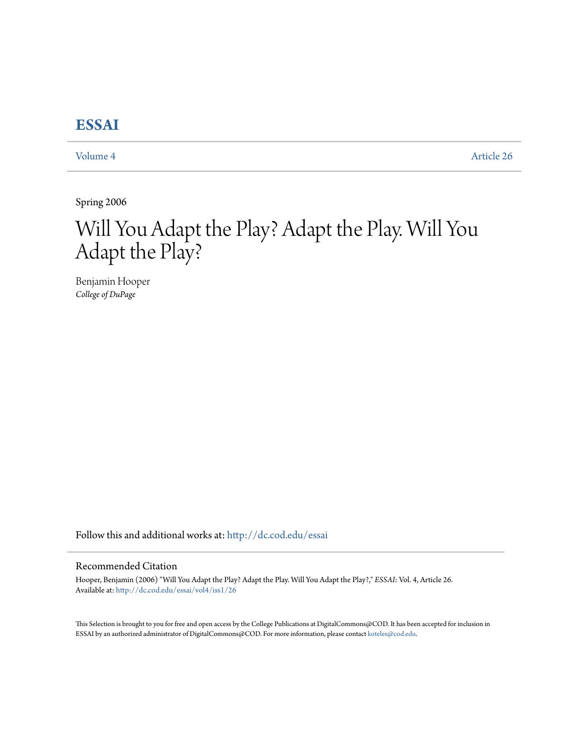## **[ESSAI](http://dc.cod.edu/essai?utm_source=dc.cod.edu%2Fessai%2Fvol4%2Fiss1%2F26&utm_medium=PDF&utm_campaign=PDFCoverPages)**

[Volume 4](http://dc.cod.edu/essai/vol4?utm_source=dc.cod.edu%2Fessai%2Fvol4%2Fiss1%2F26&utm_medium=PDF&utm_campaign=PDFCoverPages) [Article 26](http://dc.cod.edu/essai/vol4/iss1/26?utm_source=dc.cod.edu%2Fessai%2Fvol4%2Fiss1%2F26&utm_medium=PDF&utm_campaign=PDFCoverPages)

Spring 2006

# Will You Adapt the Play? Adapt the Play. Will You Adapt the Play?

Benjamin Hooper *College of DuPage*

Follow this and additional works at: [http://dc.cod.edu/essai](http://dc.cod.edu/essai?utm_source=dc.cod.edu%2Fessai%2Fvol4%2Fiss1%2F26&utm_medium=PDF&utm_campaign=PDFCoverPages)

### Recommended Citation

Hooper, Benjamin (2006) "Will You Adapt the Play? Adapt the Play. Will You Adapt the Play?," *ESSAI*: Vol. 4, Article 26. Available at: [http://dc.cod.edu/essai/vol4/iss1/26](http://dc.cod.edu/essai/vol4/iss1/26?utm_source=dc.cod.edu%2Fessai%2Fvol4%2Fiss1%2F26&utm_medium=PDF&utm_campaign=PDFCoverPages)

This Selection is brought to you for free and open access by the College Publications at DigitalCommons@COD. It has been accepted for inclusion in ESSAI by an authorized administrator of DigitalCommons@COD. For more information, please contact [koteles@cod.edu](mailto:koteles@cod.edu).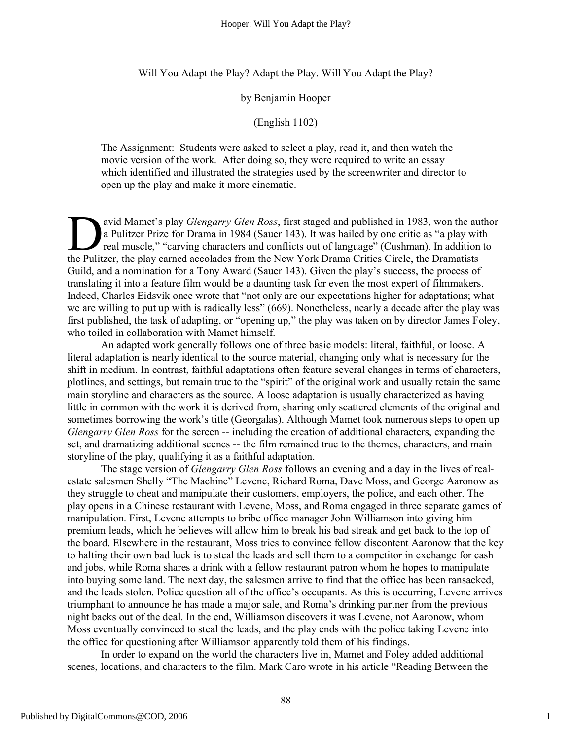Will You Adapt the Play? Adapt the Play. Will You Adapt the Play?

#### by Benjamin Hooper

#### (English 1102)

The Assignment: Students were asked to select a play, read it, and then watch the movie version of the work. After doing so, they were required to write an essay which identified and illustrated the strategies used by the screenwriter and director to open up the play and make it more cinematic.

avid Mamet's play *Glengarry Glen Ross*, first staged and published in 1983, won the author a Pulitzer Prize for Drama in 1984 (Sauer 143). It was hailed by one critic as "a play with real muscle," "carving characters and conflicts out of language" (Cushman). In addition to avid Mamet's play *Glengarry Glen Ross*, first staged and published in 1983, won the au a Pulitzer Prize for Drama in 1984 (Sauer 143). It was hailed by one critic as "a play wire real muscle," "carving characters and conf Guild, and a nomination for a Tony Award (Sauer 143). Given the play's success, the process of translating it into a feature film would be a daunting task for even the most expert of filmmakers. Indeed, Charles Eidsvik once wrote that "not only are our expectations higher for adaptations; what we are willing to put up with is radically less" (669). Nonetheless, nearly a decade after the play was first published, the task of adapting, or "opening up," the play was taken on by director James Foley, who toiled in collaboration with Mamet himself.

An adapted work generally follows one of three basic models: literal, faithful, or loose. A literal adaptation is nearly identical to the source material, changing only what is necessary for the shift in medium. In contrast, faithful adaptations often feature several changes in terms of characters, plotlines, and settings, but remain true to the "spirit" of the original work and usually retain the same main storyline and characters as the source. A loose adaptation is usually characterized as having little in common with the work it is derived from, sharing only scattered elements of the original and sometimes borrowing the work's title (Georgalas). Although Mamet took numerous steps to open up *Glengarry Glen Ross* for the screen -- including the creation of additional characters, expanding the set, and dramatizing additional scenes -- the film remained true to the themes, characters, and main storyline of the play, qualifying it as a faithful adaptation.

The stage version of *Glengarry Glen Ross* follows an evening and a day in the lives of realestate salesmen Shelly "The Machine" Levene, Richard Roma, Dave Moss, and George Aaronow as they struggle to cheat and manipulate their customers, employers, the police, and each other. The play opens in a Chinese restaurant with Levene, Moss, and Roma engaged in three separate games of manipulation. First, Levene attempts to bribe office manager John Williamson into giving him premium leads, which he believes will allow him to break his bad streak and get back to the top of the board. Elsewhere in the restaurant, Moss tries to convince fellow discontent Aaronow that the key to halting their own bad luck is to steal the leads and sell them to a competitor in exchange for cash and jobs, while Roma shares a drink with a fellow restaurant patron whom he hopes to manipulate into buying some land. The next day, the salesmen arrive to find that the office has been ransacked, and the leads stolen. Police question all of the office's occupants. As this is occurring, Levene arrives triumphant to announce he has made a major sale, and Roma's drinking partner from the previous night backs out of the deal. In the end, Williamson discovers it was Levene, not Aaronow, whom Moss eventually convinced to steal the leads, and the play ends with the police taking Levene into the office for questioning after Williamson apparently told them of his findings.

In order to expand on the world the characters live in, Mamet and Foley added additional scenes, locations, and characters to the film. Mark Caro wrote in his article "Reading Between the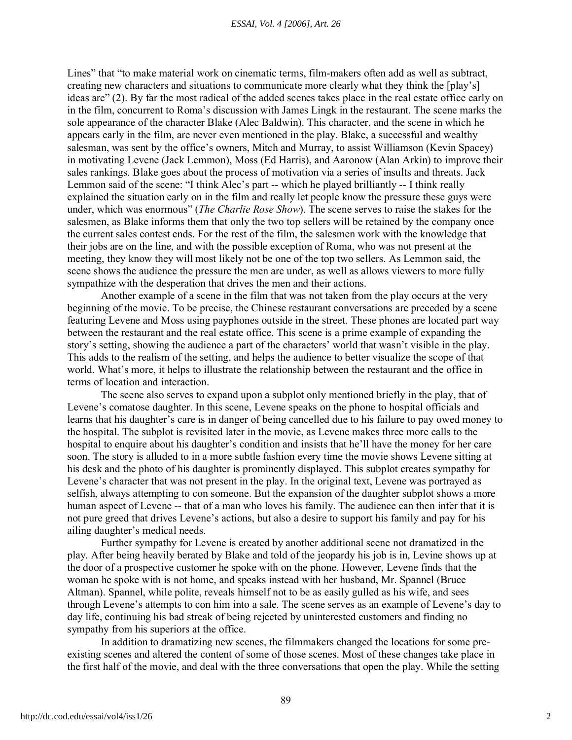#### *ESSAI, Vol. 4 [2006], Art. 26*

Lines" that "to make material work on cinematic terms, film-makers often add as well as subtract, creating new characters and situations to communicate more clearly what they think the [play's] ideas are" (2). By far the most radical of the added scenes takes place in the real estate office early on in the film, concurrent to Roma's discussion with James Lingk in the restaurant. The scene marks the sole appearance of the character Blake (Alec Baldwin). This character, and the scene in which he appears early in the film, are never even mentioned in the play. Blake, a successful and wealthy salesman, was sent by the office's owners, Mitch and Murray, to assist Williamson (Kevin Spacey) in motivating Levene (Jack Lemmon), Moss (Ed Harris), and Aaronow (Alan Arkin) to improve their sales rankings. Blake goes about the process of motivation via a series of insults and threats. Jack Lemmon said of the scene: "I think Alec's part -- which he played brilliantly -- I think really explained the situation early on in the film and really let people know the pressure these guys were under, which was enormous" (*The Charlie Rose Show*). The scene serves to raise the stakes for the salesmen, as Blake informs them that only the two top sellers will be retained by the company once the current sales contest ends. For the rest of the film, the salesmen work with the knowledge that their jobs are on the line, and with the possible exception of Roma, who was not present at the meeting, they know they will most likely not be one of the top two sellers. As Lemmon said, the scene shows the audience the pressure the men are under, as well as allows viewers to more fully sympathize with the desperation that drives the men and their actions.

Another example of a scene in the film that was not taken from the play occurs at the very beginning of the movie. To be precise, the Chinese restaurant conversations are preceded by a scene featuring Levene and Moss using payphones outside in the street. These phones are located part way between the restaurant and the real estate office. This scene is a prime example of expanding the story's setting, showing the audience a part of the characters' world that wasn't visible in the play. This adds to the realism of the setting, and helps the audience to better visualize the scope of that world. What's more, it helps to illustrate the relationship between the restaurant and the office in terms of location and interaction.

The scene also serves to expand upon a subplot only mentioned briefly in the play, that of Levene's comatose daughter. In this scene, Levene speaks on the phone to hospital officials and learns that his daughter's care is in danger of being cancelled due to his failure to pay owed money to the hospital. The subplot is revisited later in the movie, as Levene makes three more calls to the hospital to enquire about his daughter's condition and insists that he'll have the money for her care soon. The story is alluded to in a more subtle fashion every time the movie shows Levene sitting at his desk and the photo of his daughter is prominently displayed. This subplot creates sympathy for Levene's character that was not present in the play. In the original text, Levene was portrayed as selfish, always attempting to con someone. But the expansion of the daughter subplot shows a more human aspect of Levene -- that of a man who loves his family. The audience can then infer that it is not pure greed that drives Levene's actions, but also a desire to support his family and pay for his ailing daughter's medical needs.

Further sympathy for Levene is created by another additional scene not dramatized in the play. After being heavily berated by Blake and told of the jeopardy his job is in, Levine shows up at the door of a prospective customer he spoke with on the phone. However, Levene finds that the woman he spoke with is not home, and speaks instead with her husband, Mr. Spannel (Bruce Altman). Spannel, while polite, reveals himself not to be as easily gulled as his wife, and sees through Levene's attempts to con him into a sale. The scene serves as an example of Levene's day to day life, continuing his bad streak of being rejected by uninterested customers and finding no sympathy from his superiors at the office.

In addition to dramatizing new scenes, the filmmakers changed the locations for some preexisting scenes and altered the content of some of those scenes. Most of these changes take place in the first half of the movie, and deal with the three conversations that open the play. While the setting